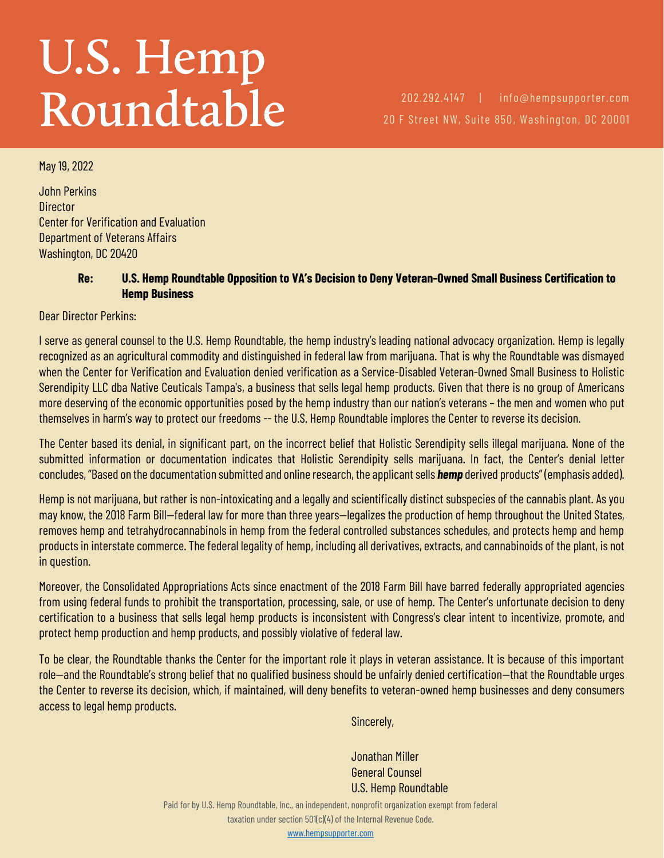## U.S. Hemp<br>Roundtable

202.292.4147 | info@hempsupporter.com 20 F Street NW, Suite 850, Washington, DC 20001

May 19, 2022

John Perkins **Director** Center for Verification and Evaluation Department of Veterans Affairs Washington, DC 20420

## **Re: U.S. Hemp Roundtable Opposition to VA's Decision to Deny Veteran-Owned Small Business Certification to Hemp Business**

Dear Director Perkins:

I serve as general counsel to the U.S. Hemp Roundtable, the hemp industry's leading national advocacy organization. Hemp is legally recognized as an agricultural commodity and distinguished in federal law from marijuana. That is why the Roundtable was dismayed when the Center for Verification and Evaluation denied verification as a Service-Disabled Veteran-Owned Small Business to Holistic Serendipity LLC dba Native Ceuticals Tampa's, a business that sells legal hemp products. Given that there is no group of Americans more deserving of the economic opportunities posed by the hemp industry than our nation's veterans – the men and women who put themselves in harm's way to protect our freedoms -- the U.S. Hemp Roundtable implores the Center to reverse its decision.

The Center based its denial, in significant part, on the incorrect belief that Holistic Serendipity sells illegal marijuana. None of the submitted information or documentation indicates that Holistic Serendipity sells marijuana. In fact, the Center's denial letter concludes, "Based on the documentation submitted and online research, the applicant sells *hemp* derived products" (emphasis added).

Hemp is not marijuana, but rather is non-intoxicating and a legally and scientifically distinct subspecies of the cannabis plant. As you may know, the 2018 Farm Bill—federal law for more than three years—legalizes the production of hemp throughout the United States, removes hemp and tetrahydrocannabinols in hemp from the federal controlled substances schedules, and protects hemp and hemp products in interstate commerce. The federal legality of hemp, including all derivatives, extracts, and cannabinoids of the plant, is not in question.

Moreover, the Consolidated Appropriations Acts since enactment of the 2018 Farm Bill have barred federally appropriated agencies from using federal funds to prohibit the transportation, processing, sale, or use of hemp. The Center's unfortunate decision to deny certification to a business that sells legal hemp products is inconsistent with Congress's clear intent to incentivize, promote, and protect hemp production and hemp products, and possibly violative of federal law.

To be clear, the Roundtable thanks the Center for the important role it plays in veteran assistance. It is because of this important role—and the Roundtable's strong belief that no qualified business should be unfairly denied certification—that the Roundtable urges the Center to reverse its decision, which, if maintained, will deny benefits to veteran-owned hemp businesses and deny consumers access to legal hemp products.

Sincerely,

Jonathan Miller General Counsel U.S. Hemp Roundtable

Paid for by U.S. Hemp Roundtable, Inc., an independent, nonprofit organization exempt from federal taxation under section 501(c)(4) of the Internal Revenue Code.

[www.hempsupporter.com](file:///C:/Users/Dave/Downloads/www.hempsupporter.com)